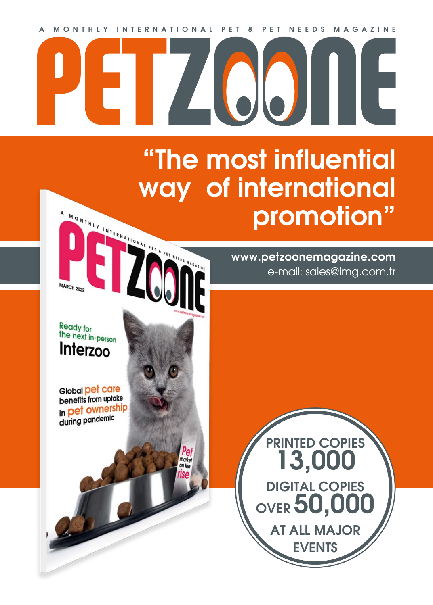**A MONTHLY INTERNATIONAL PET & PET NEEDS MAGAZINE**

 $\sqrt{1}$ 

marker on the

## **"The most influential way of international**  MONTHLY INTERNATIONAL PET REFERENCE **promotion"**

**www.petzoonemagazine.com** e-mail: sales@img.com.tr

r

Ready for the next in-person Interzoo

Ą

**MARCH 2022** 

Global pet care benefits from uptake in pet ownership during pandemic

**PRINTED COPIES 13,000 DIGITAL COPIES OVER 50,000 AT ALL MAJOR EVENTS**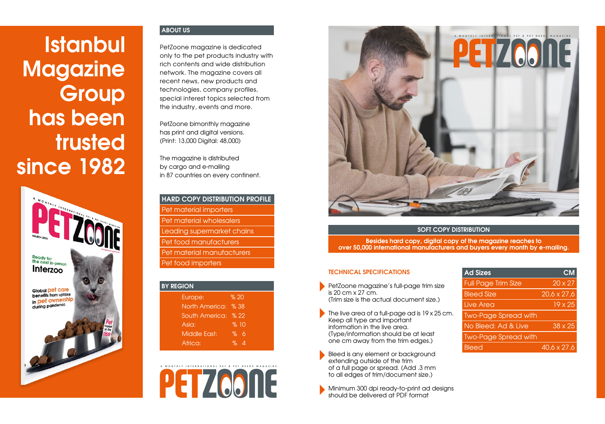# **Istanbul Magazine Group has been trusted since 1982**



#### **ABOUT US**

PetZoone magazine is dedicated only to the pet products industry with rich contents and wide distribution network. The magazine covers all recent news, new products and technologies, company profiles, special interest topics selected from the industry, events and more.

PetZoone bimonthly magazine has print and digital versions. (Print: 13,000 Digital: 48,000)

The magazine is distributed by cargo and e-mailing in 87 countries on every continent.

#### **HARD COPY DISTRIBUTION PROFILE**

 Pet material importers Pet material wholesalers Leading supermarket chains Pet food manufacturers Pet material manufacturers Pet food importers

| <b>BY REGION</b> |                     |  |  |  |  |
|------------------|---------------------|--|--|--|--|
| Europe:          | %20                 |  |  |  |  |
| North America:   | $\sqrt{8}38$        |  |  |  |  |
| South America:   | $\frac{9}{6}$ 22    |  |  |  |  |
| Asia:            | %10                 |  |  |  |  |
| Middle East:     | ℅<br>6              |  |  |  |  |
| Africa:          | $\partial_{\sigma}$ |  |  |  |  |





#### **SOFT COPY DISTRIBUTION**

**Besides hard copy, digital copy of the magazine reaches to over 50,000 international manufacturers and buyers every month by e-mailing.**

#### **TECHNICAL SPECIFICATIONS**

- PetZoone magazine's full-page trim size is 20 cm x 27 cm. (Trim size is the actual document size.)
- The live area of a full-page ad is 19 x 25 cm. Keep all type and important information in the live area. (Type/information should be at least one cm away from the trim edges.)
- Bleed is any element or background extending outside of the trim of a full page or spread. (Add .3 mm to all edges of trim/document size.)

Minimum 300 dpi ready-to-print ad desians should be delivered at PDF format

| <b>Ad Sizes</b>             | CМ                 |
|-----------------------------|--------------------|
| <b>Full Page Trim Size</b>  | $20 \times 27$     |
| <b>Bleed Size</b>           | $20,6 \times 27,6$ |
| Live Area                   | 19 x 25            |
| <b>Two-Page Spread with</b> |                    |
| No Bleed: Ad & Live         | $38 \times 25$     |
| <b>Two-Page Spread with</b> |                    |
| <b>Bleed</b>                | 40.6 x 27.6        |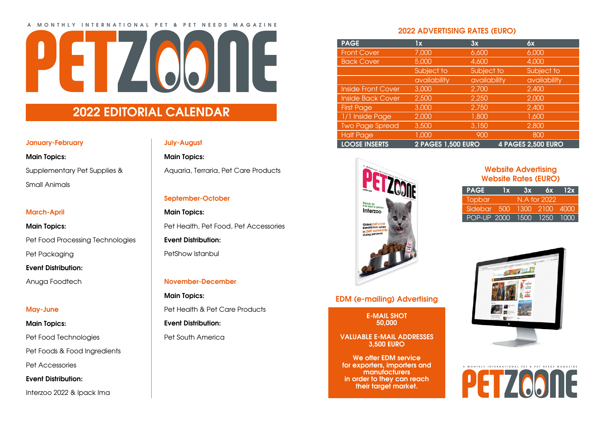#### **A MONTHLY INTERNATIONAL PET & PET NEEDS MAGAZINE**



## **2022 EDITORIAL CALENDAR**

#### **January-February**

### **Main Topics:**  Supplementary Pet Supplies & Small Animals

#### **March-April**

#### **Main Topics:**  Pet Food Processing Technologies

Pet Packaging

#### **Event Distribution:**

Anuga Foodtech

#### **May-June**

#### **Main Topics:**

Pet Food Technologies

Pet Foods & Food Ingredients

Pet Accessories

**Event Distribution:** 

Interzoo 2022 & Ipack Ima

#### **July-August**

**Main Topics:**  Aquaria, Terraria, Pet Care Products

**September-October**

**Main Topics:**  Pet Health, Pet Food, Pet Accessories

**Event Distribution:** 

PetShow Istanbul

#### **November-December**

**Main Topics:**  Pet Health & Pet Care Products **Event Distribution:** 

Pet South America

#### **2022 ADVERTISING RATES (EURO)**

| <b>PAGE</b>               | lx                        | 3x           | 6x                        |
|---------------------------|---------------------------|--------------|---------------------------|
| <b>Front Cover</b>        | 7,000                     | 6,600        | 6,000                     |
| <b>Back Cover</b>         | 5,000                     | 4,600        | 4,000                     |
|                           | Subject to                | Subject to   | Subject to                |
|                           | availability              | availability | availability              |
| <b>Inside Front Cover</b> | 3,000                     | 2,700        | 2,400                     |
| <b>Inside Back Cover</b>  | 2,500                     | 2,250        | 2,000                     |
| <b>First Page</b>         | 3,000                     | 2,750        | 2,400                     |
| 1/1 Inside Page           | 2,000                     | 1,800        | 1,600                     |
| Two Page Spread           | 3,500                     | 3,150        | 2,800                     |
| <b>Half Page</b>          | 1,000                     | 900          | 800                       |
| <b>LOOSE INSERTS</b>      | <b>2 PAGES 1,500 EURO</b> |              | <b>4 PAGES 2,500 EURO</b> |



**EDM (e-mailing) Advertising**

**E-MAIL SHOT 50,000** 

**VALUABLE E-MAIL ADDRESSES 3,500 EURO**

**We offer EDM service for exporters, importers and manufacturers in order to they can reach their target market.**

#### **Website Advertising Website Rates (EURO)**

| <b>PAGE</b>                | $\mathbf{I} \mathbf{X}$ | 3x | 6x           | 12x |
|----------------------------|-------------------------|----|--------------|-----|
| Topbar'                    |                         |    | N.A for 2022 |     |
| Sidebar 500 1300 2100 4000 |                         |    |              |     |
| POP-UP 2000 1500 1250 1000 |                         |    |              |     |